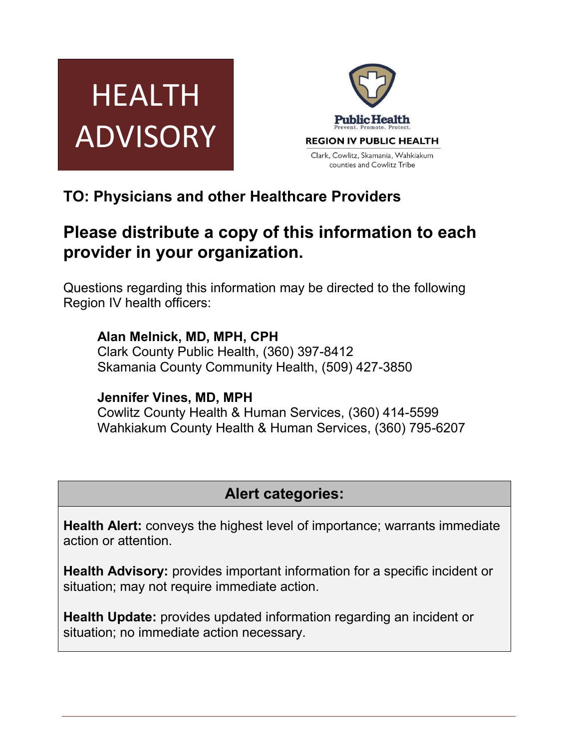



# **TO: Physicians and other Healthcare Providers**

# **Please distribute a copy of this information to each provider in your organization.**

Questions regarding this information may be directed to the following Region IV health officers:

## **Alan Melnick, MD, MPH, CPH**

Clark County Public Health, (360) 397-8412 Skamania County Community Health, (509) 427-3850

## **Jennifer Vines, MD, MPH**

Cowlitz County Health & Human Services, (360) 414-5599 Wahkiakum County Health & Human Services, (360) 795-6207

# **Alert categories:**

**Health Alert:** conveys the highest level of importance; warrants immediate action or attention.

**Health Advisory:** provides important information for a specific incident or situation; may not require immediate action.

**Health Update:** provides updated information regarding an incident or situation; no immediate action necessary.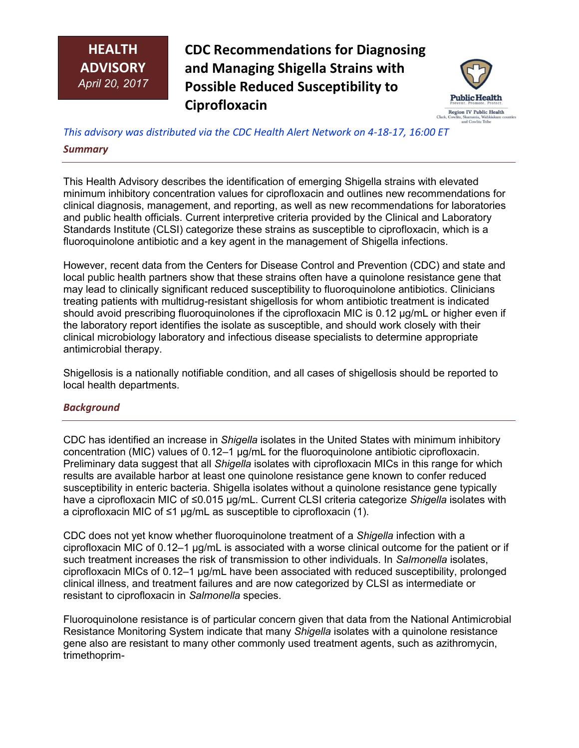## **HEALTH ADVISORY** *April 20, 2017*

**CDC Recommendations for Diagnosing and Managing Shigella Strains with Possible Reduced Susceptibility to Ciprofloxacin**



*This advisory was distributed via the CDC Health Alert Network on 4-18-17, 16:00 ET* **Susceptibility to CiprofloxacinStrains with Possible Reduced** 

### *Summary*

This Health Advisory describes the identification of emerging Shigella strains with elevated minimum inhibitory concentration values for ciprofloxacin and outlines new recommendations for clinical diagnosis, management, and reporting, as well as new recommendations for laboratories and public health officials. Current interpretive criteria provided by the Clinical and Laboratory Standards Institute (CLSI) categorize these strains as susceptible to ciprofloxacin, which is a fluoroquinolone antibiotic and a key agent in the management of Shigella infections.

However, recent data from the Centers for Disease Control and Prevention (CDC) and state and local public health partners show that these strains often have a quinolone resistance gene that may lead to clinically significant reduced susceptibility to fluoroquinolone antibiotics. Clinicians treating patients with multidrug-resistant shigellosis for whom antibiotic treatment is indicated should avoid prescribing fluoroquinolones if the ciprofloxacin MIC is 0.12 μg/mL or higher even if the laboratory report identifies the isolate as susceptible, and should work closely with their clinical microbiology laboratory and infectious disease specialists to determine appropriate antimicrobial therapy.

Shigellosis is a nationally notifiable condition, and all cases of shigellosis should be reported to local health departments.

### *Background*

CDC has identified an increase in *Shigella* isolates in the United States with minimum inhibitory concentration (MIC) values of 0.12–1 μg/mL for the fluoroquinolone antibiotic ciprofloxacin. Preliminary data suggest that all *Shigella* isolates with ciprofloxacin MICs in this range for which results are available harbor at least one quinolone resistance gene known to confer reduced susceptibility in enteric bacteria. Shigella isolates without a quinolone resistance gene typically have a ciprofloxacin MIC of ≤0.015 μg/mL. Current CLSI criteria categorize *Shigella* isolates with a ciprofloxacin MIC of ≤1 μg/mL as susceptible to ciprofloxacin (1).

CDC does not yet know whether fluoroquinolone treatment of a *Shigella* infection with a ciprofloxacin MIC of 0.12–1 μg/mL is associated with a worse clinical outcome for the patient or if such treatment increases the risk of transmission to other individuals. In *Salmonella* isolates, ciprofloxacin MICs of 0.12–1 μg/mL have been associated with reduced susceptibility, prolonged clinical illness, and treatment failures and are now categorized by CLSI as intermediate or resistant to ciprofloxacin in *Salmonella* species.

Fluoroquinolone resistance is of particular concern given that data from the National Antimicrobial Resistance Monitoring System indicate that many *Shigella* isolates with a quinolone resistance gene also are resistant to many other commonly used treatment agents, such as azithromycin, trimethoprim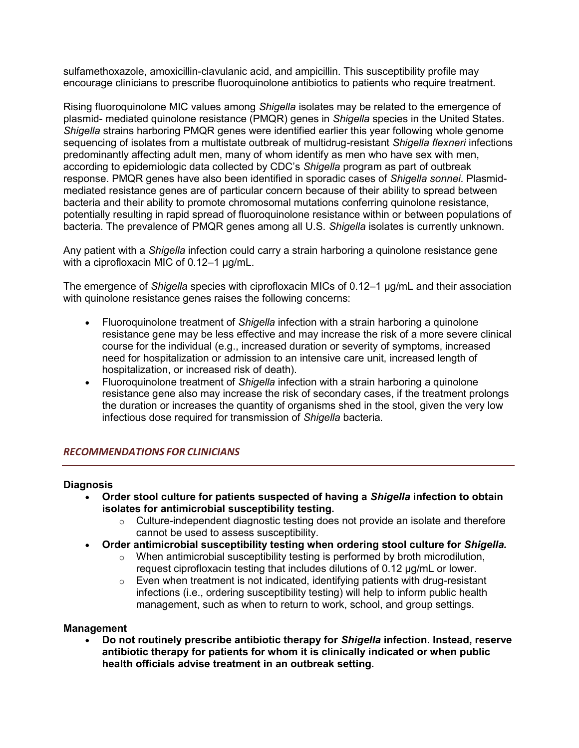sulfamethoxazole, amoxicillin-clavulanic acid, and ampicillin. This susceptibility profile may encourage clinicians to prescribe fluoroquinolone antibiotics to patients who require treatment.

Rising fluoroquinolone MIC values among *Shigella* isolates may be related to the emergence of plasmid- mediated quinolone resistance (PMQR) genes in *Shigella* species in the United States. *Shigella* strains harboring PMQR genes were identified earlier this year following whole genome sequencing of isolates from a multistate outbreak of multidrug-resistant *Shigella flexneri* infections predominantly affecting adult men, many of whom identify as men who have sex with men, according to epidemiologic data collected by CDC's *Shigella* program as part of outbreak response. PMQR genes have also been identified in sporadic cases of *Shigella sonnei*. Plasmidmediated resistance genes are of particular concern because of their ability to spread between bacteria and their ability to promote chromosomal mutations conferring quinolone resistance, potentially resulting in rapid spread of fluoroquinolone resistance within or between populations of bacteria. The prevalence of PMQR genes among all U.S. *Shigella* isolates is currently unknown.

Any patient with a *Shigella* infection could carry a strain harboring a quinolone resistance gene with a ciprofloxacin MIC of 0.12–1 μg/mL.

The emergence of *Shigella* species with ciprofloxacin MICs of 0.12–1 μg/mL and their association with quinolone resistance genes raises the following concerns:

- Fluoroquinolone treatment of *Shigella* infection with a strain harboring a quinolone resistance gene may be less effective and may increase the risk of a more severe clinical course for the individual (e.g., increased duration or severity of symptoms, increased need for hospitalization or admission to an intensive care unit, increased length of hospitalization, or increased risk of death).
- Fluoroquinolone treatment of *Shigella* infection with a strain harboring a quinolone resistance gene also may increase the risk of secondary cases, if the treatment prolongs the duration or increases the quantity of organisms shed in the stool, given the very low infectious dose required for transmission of *Shigella* bacteria*.*

#### *RECOMMENDATIONS FOR CLINICIANS*

#### **Diagnosis**

- **Order stool culture for patients suspected of having a** *Shigella* **infection to obtain isolates for antimicrobial susceptibility testing.**
	- $\circ$  Culture-independent diagnostic testing does not provide an isolate and therefore cannot be used to assess susceptibility.
- **Order antimicrobial susceptibility testing when ordering stool culture for** *Shigella.*
	- o When antimicrobial susceptibility testing is performed by broth microdilution, request ciprofloxacin testing that includes dilutions of 0.12 μg/mL or lower.
	- $\circ$  Even when treatment is not indicated, identifying patients with drug-resistant infections (i.e., ordering susceptibility testing) will help to inform public health management, such as when to return to work, school, and group settings.

#### **Management**

 **Do not routinely prescribe antibiotic therapy for** *Shigella* **infection. Instead, reserve antibiotic therapy for patients for whom it is clinically indicated or when public health officials advise treatment in an outbreak setting.**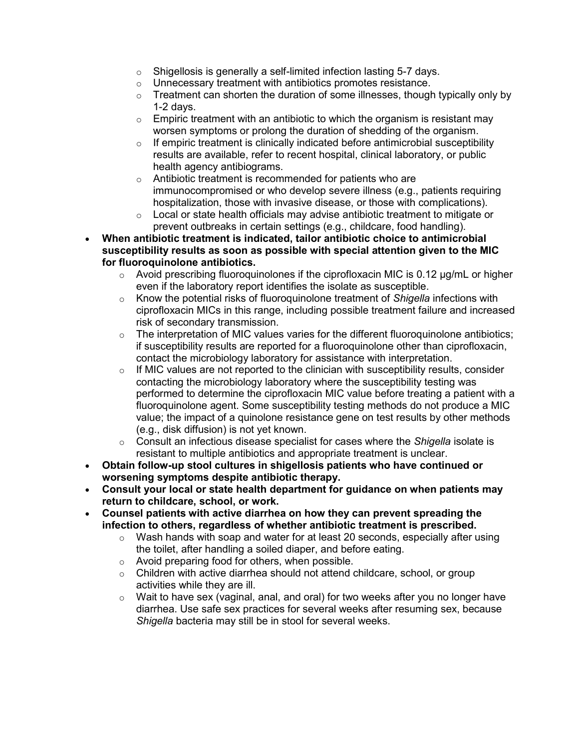- $\circ$  Shigellosis is generally a self-limited infection lasting 5-7 days.
- o Unnecessary treatment with antibiotics promotes resistance.
- $\circ$  Treatment can shorten the duration of some illnesses, though typically only by 1-2 days.
- $\circ$  Empiric treatment with an antibiotic to which the organism is resistant may worsen symptoms or prolong the duration of shedding of the organism.
- $\circ$  If empiric treatment is clinically indicated before antimicrobial susceptibility results are available, refer to recent hospital, clinical laboratory, or public health agency antibiograms.
- o Antibiotic treatment is recommended for patients who are immunocompromised or who develop severe illness (e.g., patients requiring hospitalization, those with invasive disease, or those with complications).
- $\circ$  Local or state health officials may advise antibiotic treatment to mitigate or prevent outbreaks in certain settings (e.g., childcare, food handling).
- **When antibiotic treatment is indicated, tailor antibiotic choice to antimicrobial susceptibility results as soon as possible with special attention given to the MIC for fluoroquinolone antibiotics.**
	- $\circ$  Avoid prescribing fluoroquinolones if the ciprofloxacin MIC is 0.12  $\mu$ g/mL or higher even if the laboratory report identifies the isolate as susceptible.
	- o Know the potential risks of fluoroquinolone treatment of *Shigella* infections with ciprofloxacin MICs in this range, including possible treatment failure and increased risk of secondary transmission.
	- $\circ$  The interpretation of MIC values varies for the different fluoroquinolone antibiotics; if susceptibility results are reported for a fluoroquinolone other than ciprofloxacin, contact the microbiology laboratory for assistance with interpretation.
	- $\circ$  If MIC values are not reported to the clinician with susceptibility results, consider contacting the microbiology laboratory where the susceptibility testing was performed to determine the ciprofloxacin MIC value before treating a patient with a fluoroquinolone agent. Some susceptibility testing methods do not produce a MIC value; the impact of a quinolone resistance gene on test results by other methods (e.g., disk diffusion) is not yet known.
	- o Consult an infectious disease specialist for cases where the *Shigella* isolate is resistant to multiple antibiotics and appropriate treatment is unclear.
- **Obtain follow-up stool cultures in shigellosis patients who have continued or worsening symptoms despite antibiotic therapy.**
- **Consult your local or state health department for guidance on when patients may return to childcare, school, or work.**
- **Counsel patients with active diarrhea on how they can prevent spreading the infection to others, regardless of whether antibiotic treatment is prescribed.**
	- $\circ$  Wash hands with soap and water for at least 20 seconds, especially after using the toilet, after handling a soiled diaper, and before eating.
	- o Avoid preparing food for others, when possible.
	- $\circ$  Children with active diarrhea should not attend childcare, school, or group activities while they are ill.
	- $\circ$  Wait to have sex (vaginal, anal, and oral) for two weeks after you no longer have diarrhea. Use safe sex practices for several weeks after resuming sex, because *Shigella* bacteria may still be in stool for several weeks.